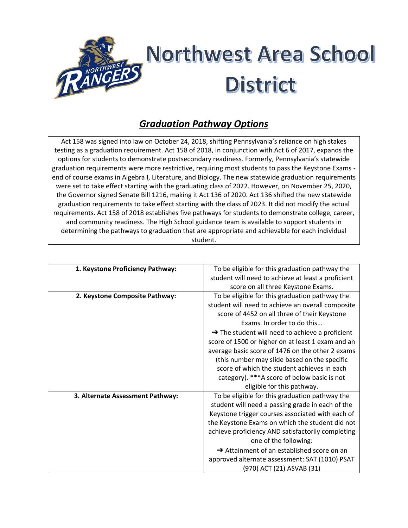

## *Graduation Pathway Options*

Act 158 was signed into law on October 24, 2018, shifting Pennsylvania's reliance on high stakes testing as a graduation requirement. Act 158 of 2018, in conjunction with Act 6 of 2017, expands the options for students to demonstrate postsecondary readiness. Formerly, Pennsylvania's statewide graduation requirements were more restrictive, requiring most students to pass the Keystone Exams end of course exams in Algebra I, Literature, and Biology. The new statewide graduation requirements were set to take effect starting with the graduating class of 2022. However, on November 25, 2020, the Governor signed Senate Bill 1216, making it Act 136 of 2020. Act 136 shifted the new statewide graduation requirements to take effect starting with the class of 2023. It did not modify the actual requirements. Act 158 of 2018 establishes five pathways for students to demonstrate college, career, and community readiness. The High School guidance team is available to support students in determining the pathways to graduation that are appropriate and achievable for each individual student.

| 1. Keystone Proficiency Pathway: | To be eligible for this graduation pathway the<br>student will need to achieve at least a proficient<br>score on all three Keystone Exams.                                                                                                                                                                                                                                                                                                                                                                                            |
|----------------------------------|---------------------------------------------------------------------------------------------------------------------------------------------------------------------------------------------------------------------------------------------------------------------------------------------------------------------------------------------------------------------------------------------------------------------------------------------------------------------------------------------------------------------------------------|
| 2. Keystone Composite Pathway:   | To be eligible for this graduation pathway the<br>student will need to achieve an overall composite<br>score of 4452 on all three of their Keystone<br>Exams. In order to do this<br>$\rightarrow$ The student will need to achieve a proficient<br>score of 1500 or higher on at least 1 exam and an<br>average basic score of 1476 on the other 2 exams<br>(this number may slide based on the specific<br>score of which the student achieves in each<br>category). ***A score of below basic is not<br>eligible for this pathway. |
| 3. Alternate Assessment Pathway: | To be eligible for this graduation pathway the<br>student will need a passing grade in each of the<br>Keystone trigger courses associated with each of<br>the Keystone Exams on which the student did not<br>achieve proficiency AND satisfactorily completing<br>one of the following:<br>$\rightarrow$ Attainment of an established score on an<br>approved alternate assessment: SAT (1010) PSAT<br>(970) ACT (21) ASVAB (31)                                                                                                      |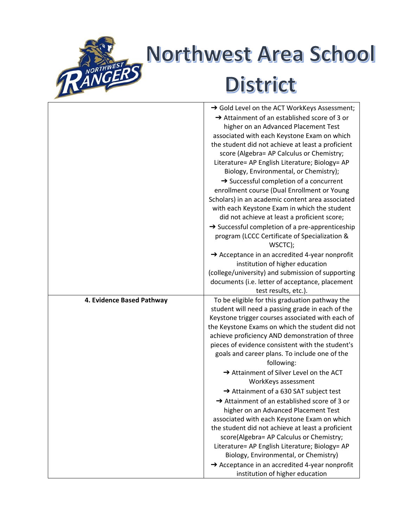

## Northwest Area School District

|                           | → Gold Level on the ACT WorkKeys Assessment;                                                       |
|---------------------------|----------------------------------------------------------------------------------------------------|
|                           | Attainment of an established score of 3 or                                                         |
|                           | higher on an Advanced Placement Test                                                               |
|                           | associated with each Keystone Exam on which                                                        |
|                           | the student did not achieve at least a proficient                                                  |
|                           | score (Algebra= AP Calculus or Chemistry;                                                          |
|                           | Literature= AP English Literature; Biology= AP                                                     |
|                           | Biology, Environmental, or Chemistry);                                                             |
|                           | $\rightarrow$ Successful completion of a concurrent                                                |
|                           | enrollment course (Dual Enrollment or Young                                                        |
|                           | Scholars) in an academic content area associated                                                   |
|                           | with each Keystone Exam in which the student                                                       |
|                           | did not achieve at least a proficient score;                                                       |
|                           | $\rightarrow$ Successful completion of a pre-apprenticeship                                        |
|                           | program (LCCC Certificate of Specialization &                                                      |
|                           | WSCTC);                                                                                            |
|                           | Acceptance in an accredited 4-year nonprofit                                                       |
|                           | institution of higher education                                                                    |
|                           | (college/university) and submission of supporting                                                  |
|                           | documents (i.e. letter of acceptance, placement<br>test results, etc.).                            |
|                           |                                                                                                    |
|                           |                                                                                                    |
| 4. Evidence Based Pathway | To be eligible for this graduation pathway the                                                     |
|                           | student will need a passing grade in each of the                                                   |
|                           | Keystone trigger courses associated with each of                                                   |
|                           | the Keystone Exams on which the student did not                                                    |
|                           | achieve proficiency AND demonstration of three<br>pieces of evidence consistent with the student's |
|                           | goals and career plans. To include one of the                                                      |
|                           | following:                                                                                         |
|                           | Attainment of Silver Level on the ACT                                                              |
|                           | WorkKeys assessment                                                                                |
|                           | Attainment of a 630 SAT subject test                                                               |
|                           | Attainment of an established score of 3 or                                                         |
|                           | higher on an Advanced Placement Test                                                               |
|                           | associated with each Keystone Exam on which                                                        |
|                           | the student did not achieve at least a proficient                                                  |
|                           | score(Algebra= AP Calculus or Chemistry;                                                           |
|                           | Literature= AP English Literature; Biology= AP                                                     |
|                           | Biology, Environmental, or Chemistry)                                                              |
|                           | Acceptance in an accredited 4-year nonprofit<br>institution of higher education                    |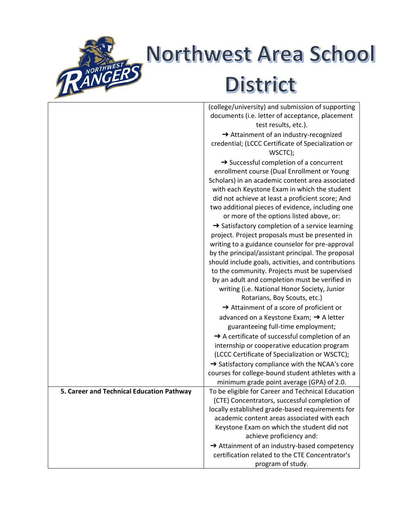

## Northwest Area School District

|                                           | (college/university) and submission of supporting                      |
|-------------------------------------------|------------------------------------------------------------------------|
|                                           | documents (i.e. letter of acceptance, placement                        |
|                                           | test results, etc.).                                                   |
|                                           | Attainment of an industry-recognized                                   |
|                                           | credential; (LCCC Certificate of Specialization or                     |
|                                           | WSCTC);                                                                |
|                                           | $\rightarrow$ Successful completion of a concurrent                    |
|                                           | enrollment course (Dual Enrollment or Young                            |
|                                           | Scholars) in an academic content area associated                       |
|                                           | with each Keystone Exam in which the student                           |
|                                           | did not achieve at least a proficient score; And                       |
|                                           | two additional pieces of evidence, including one                       |
|                                           | or more of the options listed above, or:                               |
|                                           | → Satisfactory completion of a service learning                        |
|                                           | project. Project proposals must be presented in                        |
|                                           | writing to a guidance counselor for pre-approval                       |
|                                           | by the principal/assistant principal. The proposal                     |
|                                           | should include goals, activities, and contributions                    |
|                                           | to the community. Projects must be supervised                          |
|                                           | by an adult and completion must be verified in                         |
|                                           | writing (i.e. National Honor Society, Junior                           |
|                                           | Rotarians, Boy Scouts, etc.)                                           |
|                                           | $\rightarrow$ Attainment of a score of proficient or                   |
|                                           | advanced on a Keystone Exam; → A letter                                |
|                                           | guaranteeing full-time employment;                                     |
|                                           | A certificate of successful completion of an                           |
|                                           | internship or cooperative education program                            |
|                                           | (LCCC Certificate of Specialization or WSCTC);                         |
|                                           | → Satisfactory compliance with the NCAA's core                         |
|                                           | courses for college-bound student athletes with a                      |
|                                           | minimum grade point average (GPA) of 2.0.                              |
| 5. Career and Technical Education Pathway | To be eligible for Career and Technical Education                      |
|                                           | (CTE) Concentrators, successful completion of                          |
|                                           | locally established grade-based requirements for                       |
|                                           | academic content areas associated with each                            |
|                                           | Keystone Exam on which the student did not<br>achieve proficiency and: |
|                                           | Attainment of an industry-based competency                             |
|                                           | certification related to the CTE Concentrator's                        |
|                                           | program of study.                                                      |
|                                           |                                                                        |